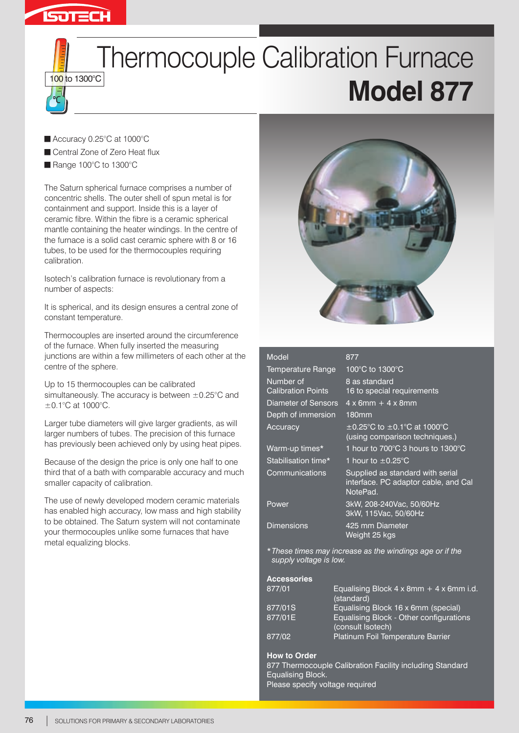

# **Thermocouple Calibration Furnace Model 877**

- Accuracy 0.25°C at 1000°C
- Central Zone of Zero Heat flux
- Range 100°C to 1300°C

The Saturn spherical furnace comprises a number of concentric shells. The outer shell of spun metal is for containment and support. Inside this is a layer of ceramic fibre. Within the fibre is a ceramic spherical mantle containing the heater windings. In the centre of the furnace is a solid cast ceramic sphere with 8 or 16 tubes, to be used for the thermocouples requiring calibration.

Isotech's calibration furnace is revolutionary from a number of aspects:

It is spherical, and its design ensures a central zone of constant temperature.

Thermocouples are inserted around the circumference of the furnace. When fully inserted the measuring junctions are within a few millimeters of each other at the centre of the sphere.

Up to 15 thermocouples can be calibrated simultaneously. The accuracy is between  $\pm$ 0.25 $\degree$ C and ±0.1°C at 1000°C.

Larger tube diameters will give larger gradients, as will larger numbers of tubes. The precision of this furnace has previously been achieved only by using heat pipes.

Because of the design the price is only one half to one third that of a bath with comparable accuracy and much smaller capacity of calibration.

The use of newly developed modern ceramic materials has enabled high accuracy, low mass and high stability to be obtained. The Saturn system will not contaminate your thermocouples unlike some furnaces that have metal equalizing blocks.



| Model                                  | 877                                                                                  |
|----------------------------------------|--------------------------------------------------------------------------------------|
| Temperature Range                      | 100°C to 1300°C                                                                      |
| Number of<br><b>Calibration Points</b> | 8 as standard<br>16 to special requirements                                          |
| Diameter of Sensors                    | $4 \times 6$ mm + $4 \times 8$ mm                                                    |
| Depth of immersion                     | 180mm                                                                                |
| Accuracy                               | $\pm$ 0.25°C to $\pm$ 0.1°C at 1000°C<br>(using comparison techniques.)              |
| Warm-up times*                         | 1 hour to 700°C 3 hours to 1300°C                                                    |
| Stabilisation time*                    | 1 hour to $\pm$ 0.25 $^{\circ}$ C                                                    |
| Communications                         | Supplied as standard with serial<br>interface. PC adaptor cable, and Cal<br>NotePad. |
| Power                                  | 3kW, 208-240Vac, 50/60Hz<br>3kW, 115Vac, 50/60Hz                                     |
| <b>Dimensions</b>                      | 425 mm Diameter<br>Weight 25 kgs                                                     |

*\*These times may increase as the windings age or if the supply voltage is low.*

## **Accessories**

| 877/01  | Equalising Block $4 \times 8$ mm + $4 \times 6$ mm i.d.<br>(standard) |
|---------|-----------------------------------------------------------------------|
| 877/01S | Equalising Block 16 x 6mm (special)                                   |
| 877/01E | Equalising Block - Other configurations<br>(consult Isotech)          |
| 877/02  | Platinum Foil Temperature Barrier                                     |

### **How to Order**

877 Thermocouple Calibration Facility including Standard Equalising Block. Please specify voltage required